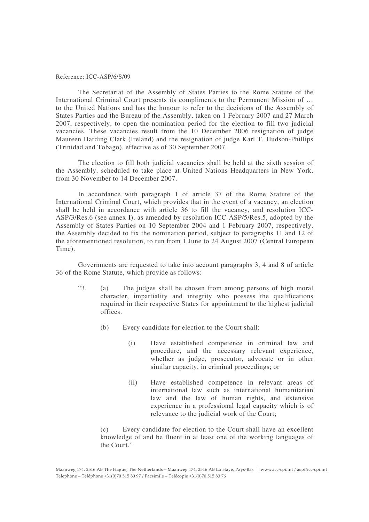#### Reference: ICC-ASP/6/S/09

The Secretariat of the Assembly of States Parties to the Rome Statute of the International Criminal Court presents its compliments to the Permanent Mission of … to the United Nations and has the honour to refer to the decisions of the Assembly of States Parties and the Bureau of the Assembly, taken on 1 February 2007 and 27 March 2007, respectively, to open the nomination period for the election to fill two judicial vacancies. These vacancies result from the 10 December 2006 resignation of judge Maureen Harding Clark (Ireland) and the resignation of judge Karl T. Hudson-Phillips (Trinidad and Tobago), effective as of 30 September 2007.

The election to fill both judicial vacancies shall be held at the sixth session of the Assembly, scheduled to take place at United Nations Headquarters in New York, from 30 November to 14 December 2007.

In accordance with paragraph 1 of article 37 of the Rome Statute of the International Criminal Court, which provides that in the event of a vacancy, an election shall be held in accordance with article 36 to fill the vacancy, and resolution ICC-ASP/3/Res.6 (see annex I), as amended by resolution ICC-ASP/5/Res.5, adopted by the Assembly of States Parties on 10 September 2004 and 1 February 2007, respectively, the Assembly decided to fix the nomination period, subject to paragraphs 11 and 12 of the aforementioned resolution, to run from 1 June to 24 August 2007 (Central European Time).

Governments are requested to take into account paragraphs 3, 4 and 8 of article 36 of the Rome Statute, which provide as follows:

- "3. (a) The judges shall be chosen from among persons of high moral character, impartiality and integrity who possess the qualifications required in their respective States for appointment to the highest judicial offices.
	- (b) Every candidate for election to the Court shall:
		- (i) Have established competence in criminal law and procedure, and the necessary relevant experience, whether as judge, prosecutor, advocate or in other similar capacity, in criminal proceedings; or
		- (ii) Have established competence in relevant areas of international law such as international humanitarian law and the law of human rights, and extensive experience in a professional legal capacity which is of relevance to the judicial work of the Court;

Every candidate for election to the Court shall have an excellent knowledge of and be fluent in at least one of the working languages of the Court."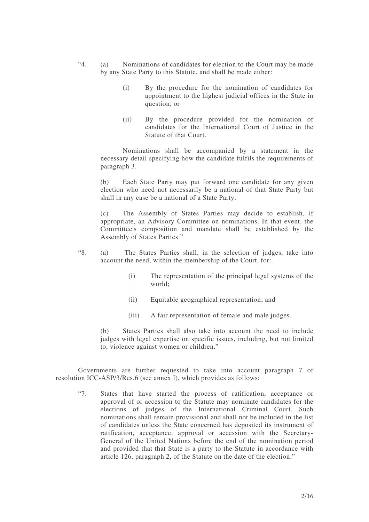- "4. (a) Nominations of candidates for election to the Court may be made by any State Party to this Statute, and shall be made either:
	- (i) By the procedure for the nomination of candidates for appointment to the highest judicial offices in the State in question; or
	- (ii) By the procedure provided for the nomination of candidates for the International Court of Justice in the Statute of that Court.

Nominations shall be accompanied by a statement in the necessary detail specifying how the candidate fulfils the requirements of paragraph 3.

(b) Each State Party may put forward one candidate for any given election who need not necessarily be a national of that State Party but shall in any case be a national of a State Party.

(c) The Assembly of States Parties may decide to establish, if appropriate, an Advisory Committee on nominations. In that event, the Committee's composition and mandate shall be established by the Assembly of States Parties."

- "8. (a) The States Parties shall, in the selection of judges, take into account the need, within the membership of the Court, for:
	- (i) The representation of the principal legal systems of the world;
	- (ii) Equitable geographical representation; and
	- (iii) A fair representation of female and male judges.

(b) States Parties shall also take into account the need to include judges with legal expertise on specific issues, including, but not limited to, violence against women or children."

Governments are further requested to take into account paragraph 7 of resolution ICC-ASP/3/Res.6 (see annex I), which provides as follows:

"7. States that have started the process of ratification, acceptance or approval of or accession to the Statute may nominate candidates for the elections of judges of the International Criminal Court. Such nominations shall remain provisional and shall not be included in the list of candidates unless the State concerned has deposited its instrument of ratification, acceptance, approval or accession with the Secretary-General of the United Nations before the end of the nomination period and provided that that State is a party to the Statute in accordance with article 126, paragraph 2, of the Statute on the date of the election."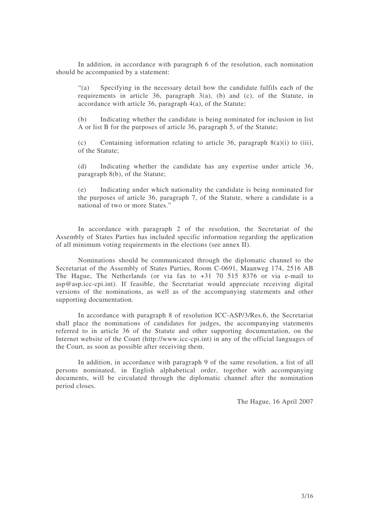In addition, in accordance with paragraph 6 of the resolution, each nomination should be accompanied by a statement:

"(a) Specifying in the necessary detail how the candidate fulfils each of the requirements in article 36, paragraph  $3(a)$ , (b) and (c), of the Statute, in accordance with article 36, paragraph 4(a), of the Statute;

(b) Indicating whether the candidate is being nominated for inclusion in list A or list B for the purposes of article 36, paragraph 5, of the Statute;

(c) Containing information relating to article 36, paragraph  $8(a)(i)$  to (iii), of the Statute;

(d) Indicating whether the candidate has any expertise under article 36, paragraph 8(b), of the Statute;

(e) Indicating under which nationality the candidate is being nominated for the purposes of article 36, paragraph 7, of the Statute, where a candidate is a national of two or more States."

In accordance with paragraph 2 of the resolution, the Secretariat of the Assembly of States Parties has included specific information regarding the application of all minimum voting requirements in the elections (see annex II).

Nominations should be communicated through the diplomatic channel to the Secretariat of the Assembly of States Parties, Room C-0691, Maanweg 174, 2516 AB The Hague, The Netherlands (or via fax to +31 70 515 8376 or via e-mail to asp@asp.icc-cpi.int). If feasible, the Secretariat would appreciate receiving digital versions of the nominations, as well as of the accompanying statements and other supporting documentation.

In accordance with paragraph 8 of resolution ICC-ASP/3/Res.6, the Secretariat shall place the nominations of candidates for judges, the accompanying statements referred to in article 36 of the Statute and other supporting documentation, on the Internet website of the Court (http://www.icc-cpi.int) in any of the official languages of the Court, as soon as possible after receiving them.

In addition, in accordance with paragraph 9 of the same resolution, a list of all persons nominated, in English alphabetical order, together with accompanying documents, will be circulated through the diplomatic channel after the nomination period closes.

The Hague, 16 April 2007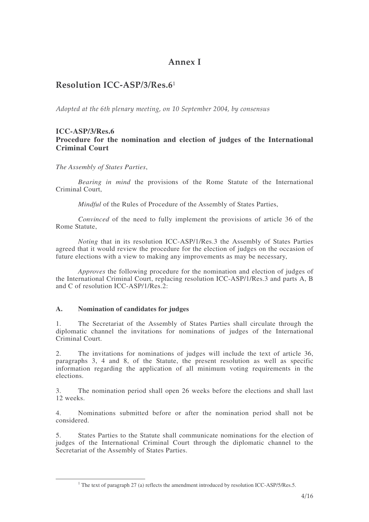# Annex I

# Resolution ICC-ASP/3/Res.6 $^{\rm 1}$

Adopted at the 6th plenary meeting, on 10 September 2004, by consensus

### **ICC-ASP/3/Res.6 Procedure for the nomination and election of judges of the International Criminal Court**

*The Assembly of States Parties*,

*Bearing in mind* the provisions of the Rome Statute of the International Criminal Court,

*Mindful* of the Rules of Procedure of the Assembly of States Parties,

*Convinced* of the need to fully implement the provisions of article 36 of the Rome Statute,

*Noting* that in its resolution ICC-ASP/1/Res.3 the Assembly of States Parties agreed that it would review the procedure for the election of judges on the occasion of future elections with a view to making any improvements as may be necessary,

*Approves* the following procedure for the nomination and election of judges of the International Criminal Court, replacing resolution ICC-ASP/1/Res.3 and parts A, B and C of resolution ICC-ASP/1/Res.2:

### **A. Nomination of candidates for judges**

1. The Secretariat of the Assembly of States Parties shall circulate through the diplomatic channel the invitations for nominations of judges of the International Criminal Court.

2. The invitations for nominations of judges will include the text of article 36, paragraphs 3, 4 and 8, of the Statute, the present resolution as well as specific information regarding the application of all minimum voting requirements in the elections.

3. The nomination period shall open 26 weeks before the elections and shall last 12 weeks.

4. Nominations submitted before or after the nomination period shall not be considered.

5. States Parties to the Statute shall communicate nominations for the election of judges of the International Criminal Court through the diplomatic channel to the Secretariat of the Assembly of States Parties.

<sup>&</sup>lt;u> 1989 - Johann Barn, mars ar breithinn ar chuid ann an t-</u> <sup>1</sup> The text of paragraph 27 (a) reflects the amendment introduced by resolution ICC-ASP/5/Res.5.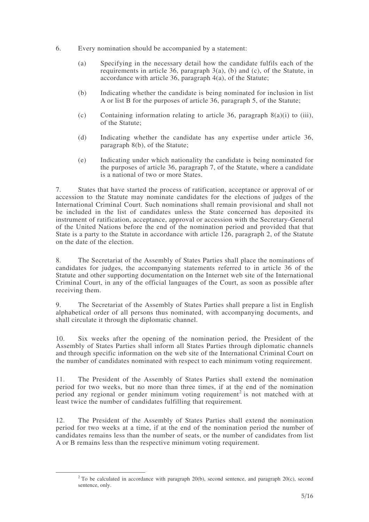- 6. Every nomination should be accompanied by a statement:
	- (a) Specifying in the necessary detail how the candidate fulfils each of the requirements in article 36, paragraph 3(a), (b) and (c), of the Statute, in accordance with article 36, paragraph 4(a), of the Statute;
	- (b) Indicating whether the candidate is being nominated for inclusion in list A or list B for the purposes of article 36, paragraph 5, of the Statute;
	- (c) Containing information relating to article 36, paragraph  $8(a)(i)$  to (iii), of the Statute;
	- (d) Indicating whether the candidate has any expertise under article 36, paragraph 8(b), of the Statute;
	- (e) Indicating under which nationality the candidate is being nominated for the purposes of article 36, paragraph 7, of the Statute, where a candidate is a national of two or more States.

7. States that have started the process of ratification, acceptance or approval of or accession to the Statute may nominate candidates for the elections of judges of the International Criminal Court. Such nominations shall remain provisional and shall not be included in the list of candidates unless the State concerned has deposited its instrument of ratification, acceptance, approval or accession with the Secretary-General of the United Nations before the end of the nomination period and provided that that State is a party to the Statute in accordance with article 126, paragraph 2, of the Statute on the date of the election.

8. The Secretariat of the Assembly of States Parties shall place the nominations of candidates for judges, the accompanying statements referred to in article 36 of the Statute and other supporting documentation on the Internet web site of the International Criminal Court, in any of the official languages of the Court, as soon as possible after receiving them.

9. The Secretariat of the Assembly of States Parties shall prepare a list in English alphabetical order of all persons thus nominated, with accompanying documents, and shall circulate it through the diplomatic channel.

10. Six weeks after the opening of the nomination period, the President of the Assembly of States Parties shall inform all States Parties through diplomatic channels and through specific information on the web site of the International Criminal Court on the number of candidates nominated with respect to each minimum voting requirement.

11. The President of the Assembly of States Parties shall extend the nomination period for two weeks, but no more than three times, if at the end of the nomination period any regional or gender minimum voting requirement<sup>2</sup> is not matched with at least twice the number of candidates fulfilling that requirement*.*

12. The President of the Assembly of States Parties shall extend the nomination period for two weeks at a time, if at the end of the nomination period the number of candidates remains less than the number of seats, or the number of candidates from list A or B remains less than the respective minimum voting requirement.

<u> 1989 - Johann Stein, mars ar breithinn ar chuid ann an t-</u>

<sup>&</sup>lt;sup>2</sup> To be calculated in accordance with paragraph 20(b), second sentence, and paragraph  $20(c)$ , second sentence, only.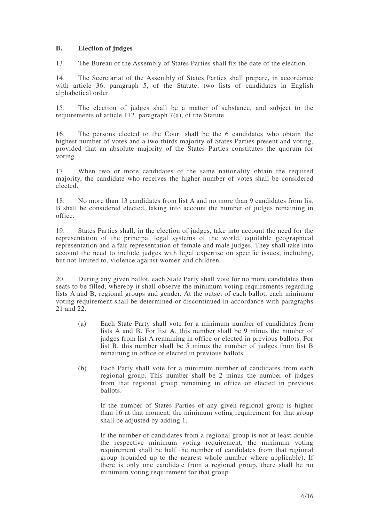### **B. Election of judges**

13. The Bureau of the Assembly of States Parties shall fix the date of the election.

14. The Secretariat of the Assembly of States Parties shall prepare, in accordance with article 36, paragraph 5, of the Statute, two lists of candidates in English alphabetical order.

15. The election of judges shall be a matter of substance, and subject to the requirements of article 112, paragraph 7(a), of the Statute.

16. The persons elected to the Court shall be the 6 candidates who obtain the highest number of votes and a two-thirds majority of States Parties present and voting, provided that an absolute majority of the States Parties constitutes the quorum for voting.

17. When two or more candidates of the same nationality obtain the required majority, the candidate who receives the higher number of votes shall be considered elected.

18. No more than 13 candidates from list A and no more than 9 candidates from list B shall be considered elected, taking into account the number of judges remaining in office.

19. States Parties shall, in the election of judges, take into account the need for the representation of the principal legal systems of the world, equitable geographical representation and a fair representation of female and male judges. They shall take into account the need to include judges with legal expertise on specific issues, including, but not limited to, violence against women and children.

20. During any given ballot, each State Party shall vote for no more candidates than seats to be filled, whereby it shall observe the minimum voting requirements regarding lists A and B, regional groups and gender. At the outset of each ballot, each minimum voting requirement shall be determined or discontinued in accordance with paragraphs 21 and 22.

- (a) Each State Party shall vote for a minimum number of candidates from lists A and B. For list A, this number shall be 9 minus the number of judges from list A remaining in office or elected in previous ballots. For list B, this number shall be 5 minus the number of judges from list B remaining in office or elected in previous ballots.
- (b) Each Party shall vote for a minimum number of candidates from each regional group. This number shall be 2 minus the number of judges from that regional group remaining in office or elected in previous ballots.

If the number of States Parties of any given regional group is higher than 16 at that moment, the minimum voting requirement for that group shall be adjusted by adding 1.

If the number of candidates from a regional group is not at least double the respective minimum voting requirement, the minimum voting requirement shall be half the number of candidates from that regional group (rounded up to the nearest whole number where applicable). If there is only one candidate from a regional group, there shall be no minimum voting requirement for that group.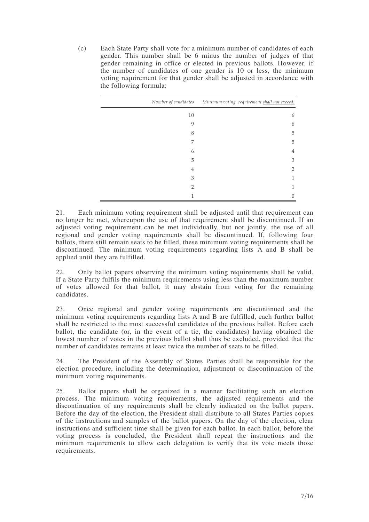(c) Each State Party shall vote for a minimum number of candidates of each gender. This number shall be 6 minus the number of judges of that gender remaining in office or elected in previous ballots. However, if the number of candidates of one gender is 10 or less, the minimum voting requirement for that gender shall be adjusted in accordance with the following formula:

|               | Number of candidates Minimum voting requirement shall not exceed: |
|---------------|-------------------------------------------------------------------|
| 10            | 6                                                                 |
| 9             | 6                                                                 |
| 8             | 5                                                                 |
| 7             | 5                                                                 |
| 6             | 4                                                                 |
| 5             | 3                                                                 |
| 4             | $\mathcal{P}$                                                     |
| 3             | 1                                                                 |
| $\mathcal{P}$ | 1                                                                 |
|               | Ω                                                                 |

21. Each minimum voting requirement shall be adjusted until that requirement can no longer be met, whereupon the use of that requirement shall be discontinued. If an adjusted voting requirement can be met individually, but not jointly, the use of all regional and gender voting requirements shall be discontinued. If, following four ballots, there still remain seats to be filled, these minimum voting requirements shall be discontinued. The minimum voting requirements regarding lists A and B shall be applied until they are fulfilled.

22. Only ballot papers observing the minimum voting requirements shall be valid. If a State Party fulfils the minimum requirements using less than the maximum number of votes allowed for that ballot, it may abstain from voting for the remaining candidates.

23. Once regional and gender voting requirements are discontinued and the minimum voting requirements regarding lists A and B are fulfilled, each further ballot shall be restricted to the most successful candidates of the previous ballot. Before each ballot, the candidate (or, in the event of a tie, the candidates) having obtained the lowest number of votes in the previous ballot shall thus be excluded, provided that the number of candidates remains at least twice the number of seats to be filled.

24. The President of the Assembly of States Parties shall be responsible for the election procedure, including the determination, adjustment or discontinuation of the minimum voting requirements.

25. Ballot papers shall be organized in a manner facilitating such an election process. The minimum voting requirements, the adjusted requirements and the discontinuation of any requirements shall be clearly indicated on the ballot papers. Before the day of the election, the President shall distribute to all States Parties copies of the instructions and samples of the ballot papers. On the day of the election, clear instructions and sufficient time shall be given for each ballot. In each ballot, before the voting process is concluded, the President shall repeat the instructions and the minimum requirements to allow each delegation to verify that its vote meets those requirements.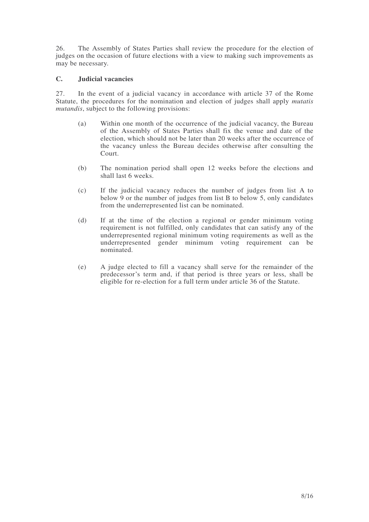26. The Assembly of States Parties shall review the procedure for the election of judges on the occasion of future elections with a view to making such improvements as may be necessary.

### **C. Judicial vacancies**

27. In the event of a judicial vacancy in accordance with article 37 of the Rome Statute, the procedures for the nomination and election of judges shall apply *mutatis mutandis*, subject to the following provisions:

- (a) Within one month of the occurrence of the judicial vacancy, the Bureau of the Assembly of States Parties shall fix the venue and date of the election, which should not be later than 20 weeks after the occurrence of the vacancy unless the Bureau decides otherwise after consulting the Court.
- (b) The nomination period shall open 12 weeks before the elections and shall last 6 weeks.
- (c) If the judicial vacancy reduces the number of judges from list A to below 9 or the number of judges from list B to below 5, only candidates from the underrepresented list can be nominated.
- (d) If at the time of the election a regional or gender minimum voting requirement is not fulfilled, only candidates that can satisfy any of the underrepresented regional minimum voting requirements as well as the underrepresented gender minimum voting requirement can be nominated.
- (e) A judge elected to fill a vacancy shall serve for the remainder of the predecessor's term and, if that period is three years or less, shall be eligible for re-election for a full term under article 36 of the Statute.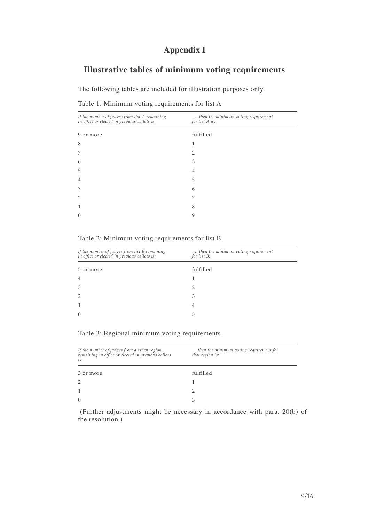# **Appendix I**

# **Illustrative tables of minimum voting requirements**

The following tables are included for illustration purposes only.

|  |  |  | Table 1: Minimum voting requirements for list A |  |  |
|--|--|--|-------------------------------------------------|--|--|
|--|--|--|-------------------------------------------------|--|--|

| If the number of judges from list A remaining<br>in office or elected in previous ballots is: | then the minimum voting requirement<br>for list A is: |
|-----------------------------------------------------------------------------------------------|-------------------------------------------------------|
| 9 or more                                                                                     | fulfilled                                             |
| 8                                                                                             | 1                                                     |
| 7                                                                                             | 2                                                     |
| 6                                                                                             | 3                                                     |
| 5                                                                                             | 4                                                     |
| 4                                                                                             | 5                                                     |
| 3                                                                                             | 6                                                     |
| $\overline{2}$                                                                                | 7                                                     |
|                                                                                               | 8                                                     |
| $\left( \right)$                                                                              | 9                                                     |
|                                                                                               |                                                       |

Table 2: Minimum voting requirements for list B

| If the number of judges from list B remaining<br>in office or elected in previous ballots is: | then the minimum voting requirement<br>for list B: |
|-----------------------------------------------------------------------------------------------|----------------------------------------------------|
| 5 or more                                                                                     | fulfilled                                          |
| $\overline{4}$                                                                                |                                                    |
| 3                                                                                             |                                                    |
|                                                                                               | З                                                  |
|                                                                                               | 4                                                  |
|                                                                                               | b                                                  |
|                                                                                               |                                                    |

|  | Table 3: Regional minimum voting requirements |  |  |
|--|-----------------------------------------------|--|--|
|  |                                               |  |  |

| If the number of judges from a given region<br>remaining in office or elected in previous ballots<br>is: | then the minimum voting requirement for<br>that region is: |
|----------------------------------------------------------------------------------------------------------|------------------------------------------------------------|
| 3 or more                                                                                                | fulfilled                                                  |
| $\mathcal{P}$                                                                                            |                                                            |
|                                                                                                          |                                                            |
| $\Omega$                                                                                                 |                                                            |
|                                                                                                          |                                                            |

(Further adjustments might be necessary in accordance with para. 20(b) of the resolution.)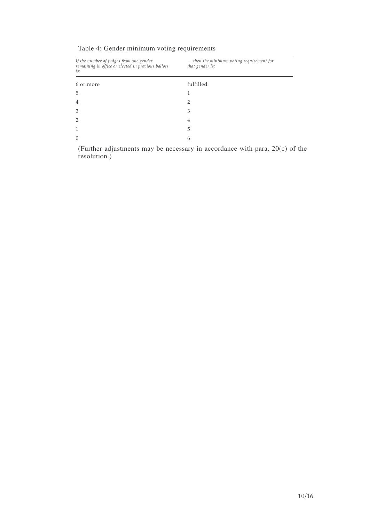| If the number of judges from one gender<br>remaining in office or elected in previous ballots<br>is: | then the minimum voting requirement for<br>that gender is: |
|------------------------------------------------------------------------------------------------------|------------------------------------------------------------|
| 6 or more                                                                                            | fulfilled                                                  |
| 5                                                                                                    |                                                            |
| $\overline{4}$                                                                                       | ר                                                          |
| 3                                                                                                    | 3                                                          |
| $\overline{2}$                                                                                       | 4                                                          |
|                                                                                                      | 5                                                          |
| $\Omega$                                                                                             | 6                                                          |
|                                                                                                      |                                                            |

Table 4: Gender minimum voting requirements

(Further adjustments may be necessary in accordance with para. 20(c) of the resolution.)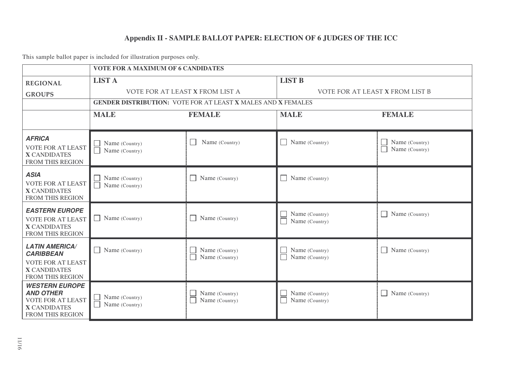# **Appendix II - SAMPLE BALLOT PAPER: ELECTION OF 6 JUDGES OF THE ICC**

This sample ballot paper is included for illustration purposes only.

| <b>VOTE FOR A MAXIMUM OF 6 CANDIDATES</b>                                                                        |                                                                     |                                            |                                  |                                  |
|------------------------------------------------------------------------------------------------------------------|---------------------------------------------------------------------|--------------------------------------------|----------------------------------|----------------------------------|
| <b>REGIONAL</b>                                                                                                  | <b>LIST A</b>                                                       |                                            | <b>LIST B</b>                    |                                  |
| <b>GROUPS</b>                                                                                                    | VOTE FOR AT LEAST X FROM LIST A                                     |                                            | VOTE FOR AT LEAST X FROM LIST B  |                                  |
|                                                                                                                  | <b>GENDER DISTRIBUTION: VOTE FOR AT LEAST X MALES AND X FEMALES</b> |                                            |                                  |                                  |
|                                                                                                                  | <b>MALE</b>                                                         | <b>FEMALE</b>                              | <b>MALE</b>                      | <b>FEMALE</b>                    |
|                                                                                                                  |                                                                     |                                            |                                  |                                  |
| <b>AFRICA</b><br><b>VOTE FOR AT LEAST</b><br><b>X CANDIDATES</b><br>FROM THIS REGION                             | Name (Country)<br>Name (Country)                                    | Name (Country)<br>$\Box$                   | Name (Country)                   | Name (Country)<br>Name (Country) |
| <b>ASIA</b><br><b>VOTE FOR AT LEAST</b><br><b>X CANDIDATES</b><br>FROM THIS REGION                               | Name (Country)<br>Name (Country)                                    | $\Box$ Name (Country)                      | Name (Country)<br>$\mathsf{L}$   |                                  |
| <b>EASTERN EUROPE</b><br><b>VOTE FOR AT LEAST</b><br><b>X CANDIDATES</b><br>FROM THIS REGION                     | Name (Country)                                                      | Name (Country)<br>$\Box$                   | Name (Country)<br>Name (Country) | $\blacksquare$ Name (Country)    |
| <b>LATIN AMERICA/</b><br><b>CARIBBEAN</b><br><b>VOTE FOR AT LEAST</b><br><b>X CANDIDATES</b><br>FROM THIS REGION | Name (Country)                                                      | Name (Country)<br>$\Box$<br>Name (Country) | Name (Country)<br>Name (Country) | $\blacksquare$ Name (Country)    |
| <b>WESTERN EUROPE</b><br><b>AND OTHER</b><br><b>VOTE FOR AT LEAST</b><br><b>X CANDIDATES</b><br>FROM THIS REGION | Name (Country)<br>Name (Country)                                    | Name (Country)<br>Name (Country)           | Name (Country)<br>Name (Country) | $\Box$ Name (Country)            |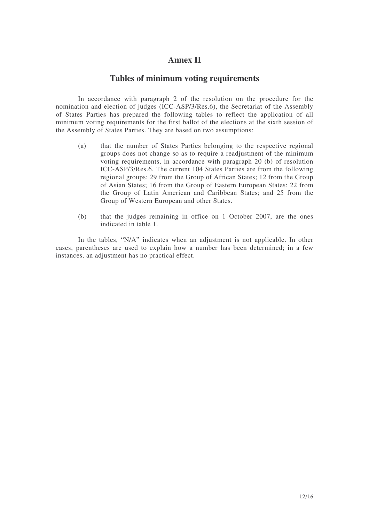## **Annex II**

## **Tables of minimum voting requirements**

In accordance with paragraph 2 of the resolution on the procedure for the nomination and election of judges (ICC-ASP/3/Res.6), the Secretariat of the Assembly of States Parties has prepared the following tables to reflect the application of all minimum voting requirements for the first ballot of the elections at the sixth session of the Assembly of States Parties. They are based on two assumptions:

- (a) that the number of States Parties belonging to the respective regional groups does not change so as to require a readjustment of the minimum voting requirements, in accordance with paragraph 20 (b) of resolution ICC-ASP/3/Res.6. The current 104 States Parties are from the following regional groups: 29 from the Group of African States; 12 from the Group of Asian States; 16 from the Group of Eastern European States; 22 from the Group of Latin American and Caribbean States; and 25 from the Group of Western European and other States.
- (b) that the judges remaining in office on 1 October 2007, are the ones indicated in table 1.

In the tables, "N/A" indicates when an adjustment is not applicable. In other cases, parentheses are used to explain how a number has been determined; in a few instances, an adjustment has no practical effect.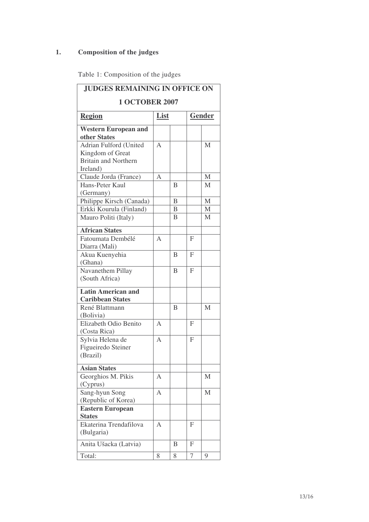# **1. Composition of the judges**

|  | Table 1: Composition of the judges |  |  |  |
|--|------------------------------------|--|--|--|
|--|------------------------------------|--|--|--|

| <b>JUDGES REMAINING IN OFFICE ON</b>                 |                       |                |                |              |
|------------------------------------------------------|-----------------------|----------------|----------------|--------------|
| <b>1 OCTOBER 2007</b>                                |                       |                |                |              |
| <b>Region</b>                                        | List<br><b>Gender</b> |                |                |              |
| <b>Western European and</b>                          |                       |                |                |              |
| other States                                         |                       |                |                |              |
| Adrian Fulford (United                               | $\overline{A}$        |                |                | M            |
| Kingdom of Great                                     |                       |                |                |              |
| <b>Britain and Northern</b>                          |                       |                |                |              |
| Ireland)                                             |                       |                |                |              |
| Claude Jorda (France)                                | A                     |                |                | M            |
| Hans-Peter Kaul                                      |                       | B              |                | M            |
| (Germany)                                            |                       |                |                |              |
| Philippe Kirsch (Canada)                             |                       | $\overline{B}$ |                | $\mathbf{M}$ |
| Erkki Kourula (Finland)                              |                       | B              |                | M            |
| Mauro Politi (Italy)                                 |                       | B              |                | M            |
| <b>African States</b>                                |                       |                |                |              |
| Fatoumata Dembélé                                    | $\overline{A}$        |                | F              |              |
| Diarra (Mali)                                        |                       |                |                |              |
| Akua Kuenyehia                                       |                       | B              | $\mathbf{F}$   |              |
| (Ghana)                                              |                       |                |                |              |
| Navanethem Pillay                                    |                       | B              | F              |              |
| (South Africa)                                       |                       |                |                |              |
| <b>Latin American and</b><br><b>Caribbean States</b> |                       |                |                |              |
| René Blattmann                                       |                       | B              |                | M            |
| (Bolivia)                                            |                       |                |                |              |
| Elizabeth Odio Benito                                | A                     |                | F              |              |
| (Costa Rica)                                         |                       |                |                |              |
| Sylvia Helena de                                     | $\overline{A}$        |                | $\overline{F}$ |              |
| Figueiredo Steiner                                   |                       |                |                |              |
| (Brazil)                                             |                       |                |                |              |
| <b>Asian States</b>                                  |                       |                |                |              |
| Georghios M. Pikis                                   | A                     |                |                | M            |
| (Cyprus)                                             |                       |                |                |              |
| Sang-hyun Song                                       | A                     |                |                | M            |
| (Republic of Korea)                                  |                       |                |                |              |
| <b>Eastern European</b><br><b>States</b>             |                       |                |                |              |
| Ekaterina Trendafilova                               | A                     |                | F              |              |
| (Bulgaria)                                           |                       |                |                |              |
| Anita Ušacka (Latvia)                                |                       | B              | F              |              |
| Total:                                               | 8                     | 8              | 7              | 9            |
|                                                      |                       |                |                |              |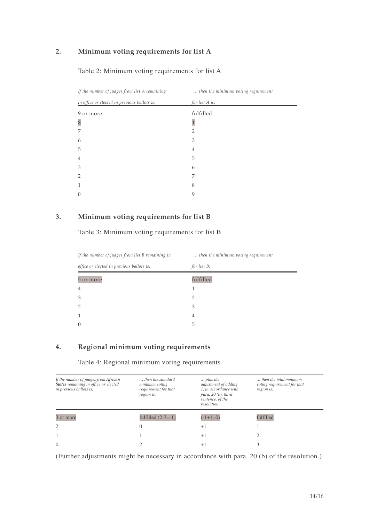### 2. Minimum voting requirements for list A

| If the number of judges from list A remaining | then the minimum voting requirement |
|-----------------------------------------------|-------------------------------------|
| in office or elected in previous ballots is:  | for list A is:                      |
| 9 or more                                     | fulfilled                           |
| 8                                             |                                     |
| 7                                             | $\overline{2}$                      |
| 6                                             | 3                                   |
| 5                                             | 4                                   |
| 4                                             | 5                                   |
| 3                                             | 6                                   |
| $\overline{2}$                                | 7                                   |
| $\mathbf{1}$                                  | 8                                   |
| $\theta$                                      | 9                                   |
|                                               |                                     |

### Table 2: Minimum voting requirements for list A

## 3. Minimum voting requirements for list B

Table 3: Minimum voting requirements for list B

| If the number of judges from list B remaining in | then the minimum voting requirement |
|--------------------------------------------------|-------------------------------------|
| office or elected in previous ballots is:        | for list B:                         |
| 5 or more                                        | fulfilled                           |
| 4                                                |                                     |
| 3                                                |                                     |
|                                                  | З                                   |
|                                                  | 4                                   |
|                                                  | 5                                   |

## 4. Regional minimum voting requirements

Table 4: Regional minimum voting requirements

| If the number of judges from African<br>States remaining in office or elected<br>in previous ballots is: | then the standard<br>minimum voting<br>requirement for that<br>region is: | $\ldots$ plus the<br>adjustment of adding<br>1, in accordance with<br>para. $20(b)$ , third<br>sentence, of the<br>resolution | then the total minimum.<br>voting requirement for that<br>region is: |
|----------------------------------------------------------------------------------------------------------|---------------------------------------------------------------------------|-------------------------------------------------------------------------------------------------------------------------------|----------------------------------------------------------------------|
| 3 or more                                                                                                | fulfilled $(2-3=-1)$                                                      | $(-1+1=0)$                                                                                                                    | fulfilled                                                            |
| $\overline{2}$                                                                                           | $\Omega$                                                                  | $+1$                                                                                                                          |                                                                      |
|                                                                                                          |                                                                           | $+1$                                                                                                                          |                                                                      |
| $\Omega$                                                                                                 |                                                                           | $+$                                                                                                                           |                                                                      |

(Further adjustments might be necessary in accordance with para. 20 (b) of the resolution.)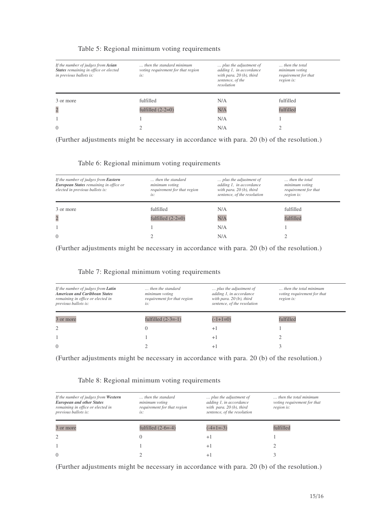| If the number of judges from Asian<br>States remaining in office or elected<br>in previous ballots is: | then the standard minimum.<br>voting requirement for that region<br>is: | plus the adjustment of<br>adding 1, in accordance<br>with para. $20(b)$ , third<br>sentence, of the<br>resolution | then the total<br>minimum voting<br>requirement for that<br>region is: |
|--------------------------------------------------------------------------------------------------------|-------------------------------------------------------------------------|-------------------------------------------------------------------------------------------------------------------|------------------------------------------------------------------------|
| 3 or more                                                                                              | fulfilled                                                               | N/A                                                                                                               | fulfilled                                                              |
| $\overline{c}$                                                                                         | fulfilled $(2-2=0)$                                                     | N/A                                                                                                               | fulfilled                                                              |
|                                                                                                        |                                                                         | N/A                                                                                                               |                                                                        |
| $\Omega$                                                                                               |                                                                         | N/A                                                                                                               |                                                                        |

#### Table 5: Regional minimum voting requirements

(Further adjustments might be necessary in accordance with para. 20 (b) of the resolution.)

| If the number of judges from <b>Eastern</b><br>European States remaining in office or<br>elected in previous ballots is: | then the standard<br>minimum voting<br>requirement for that region<br>is: | plus the adjustment of<br>adding 1, in accordance<br>with para. $20(b)$ , third<br>sentence, of the resolution | then the total<br>minimum voting<br>requirement for that<br>region is: |
|--------------------------------------------------------------------------------------------------------------------------|---------------------------------------------------------------------------|----------------------------------------------------------------------------------------------------------------|------------------------------------------------------------------------|
| 3 or more                                                                                                                | fulfilled                                                                 | N/A                                                                                                            | fulfilled                                                              |
| $\overline{c}$                                                                                                           | fulfilled $(2-2=0)$                                                       | N/A                                                                                                            | fulfilled                                                              |
|                                                                                                                          |                                                                           | N/A                                                                                                            |                                                                        |
| $\theta$                                                                                                                 |                                                                           | N/A                                                                                                            |                                                                        |

(Further adjustments might be necessary in accordance with para. 20 (b) of the resolution.)

### Table 7: Regional minimum voting requirements

| If the number of judges from <b>Latin</b><br><b>American and Caribbean States</b><br>remaining in office or elected in<br>previous ballots is: | then the standard<br>minimum voting<br>requirement for that region<br>is: | plus the adjustment of<br>adding 1, in accordance<br>with para. $20(b)$ , third<br>sentence, of the resolution | then the total minimum<br>voting requirement for that<br>region is: |
|------------------------------------------------------------------------------------------------------------------------------------------------|---------------------------------------------------------------------------|----------------------------------------------------------------------------------------------------------------|---------------------------------------------------------------------|
| 3 or more                                                                                                                                      | fulfilled $(2-3=-1)$                                                      | $(-1+1=0)$                                                                                                     | fulfilled                                                           |
| $\overline{c}$                                                                                                                                 |                                                                           | $+1$                                                                                                           |                                                                     |
|                                                                                                                                                |                                                                           | $+1$                                                                                                           |                                                                     |
| $\Omega$                                                                                                                                       |                                                                           |                                                                                                                |                                                                     |

(Further adjustments might be necessary in accordance with para. 20 (b) of the resolution.)

### Table 8: Regional minimum voting requirements

| If the number of judges from Western<br><b>European and other States</b><br>remaining in office or elected in<br>previous ballots is: | then the standard<br>minimum voting<br>requirement for that region<br>is: | plus the adjustment of<br>adding 1, in accordance<br>with para. $20(b)$ , third<br>sentence, of the resolution | then the total minimum<br>voting requirement for that<br>region is: |
|---------------------------------------------------------------------------------------------------------------------------------------|---------------------------------------------------------------------------|----------------------------------------------------------------------------------------------------------------|---------------------------------------------------------------------|
| 3 or more                                                                                                                             | fulfilled $(2-6=-4)$                                                      | $(-4+1=-3)$                                                                                                    | fulfilled                                                           |
| $\overline{c}$                                                                                                                        | O                                                                         | $+1$                                                                                                           |                                                                     |
|                                                                                                                                       |                                                                           | $+1$                                                                                                           |                                                                     |
| $\Omega$                                                                                                                              |                                                                           | $+1$                                                                                                           |                                                                     |

(Further adjustments might be necessary in accordance with para. 20 (b) of the resolution.)